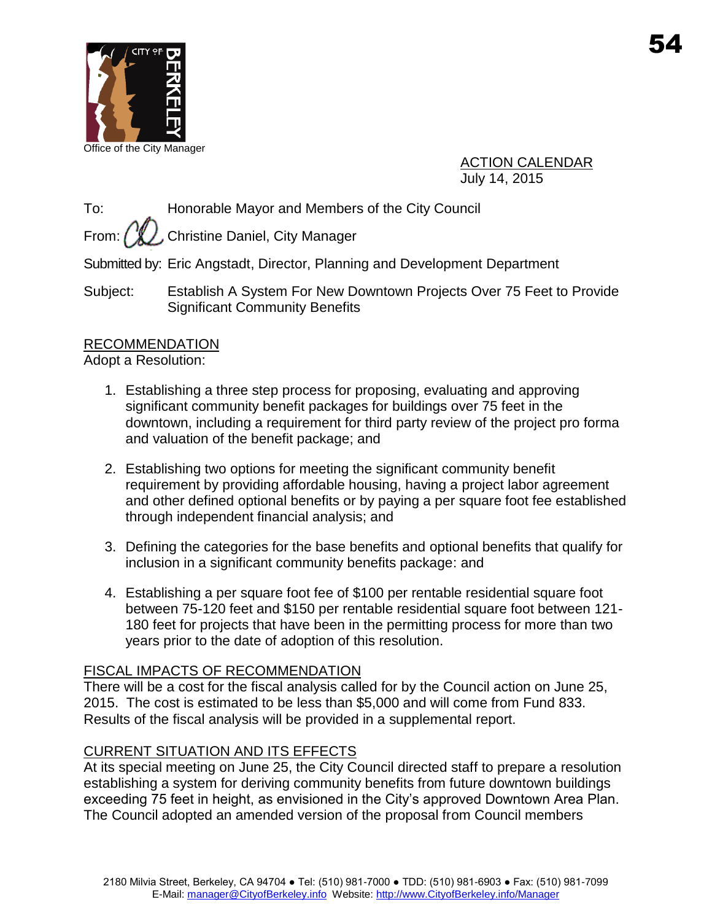

Office of the City Manager

ACTION CALENDAR July 14, 2015

To: Honorable Mayor and Members of the City Council

From:  $\left(\mathcal{U}\right)$ , Christine Daniel, City Manager

Submitted by: Eric Angstadt, Director, Planning and Development Department

Subject: Establish A System For New Downtown Projects Over 75 Feet to Provide Significant Community Benefits

## RECOMMENDATION

Adopt a Resolution:

- 1. Establishing a three step process for proposing, evaluating and approving significant community benefit packages for buildings over 75 feet in the downtown, including a requirement for third party review of the project pro forma and valuation of the benefit package; and
- 2. Establishing two options for meeting the significant community benefit requirement by providing affordable housing, having a project labor agreement and other defined optional benefits or by paying a per square foot fee established through independent financial analysis; and
- 3. Defining the categories for the base benefits and optional benefits that qualify for inclusion in a significant community benefits package: and
- 4. Establishing a per square foot fee of \$100 per rentable residential square foot between 75-120 feet and \$150 per rentable residential square foot between 121- 180 feet for projects that have been in the permitting process for more than two years prior to the date of adoption of this resolution.

## FISCAL IMPACTS OF RECOMMENDATION

There will be a cost for the fiscal analysis called for by the Council action on June 25, 2015. The cost is estimated to be less than \$5,000 and will come from Fund 833. Results of the fiscal analysis will be provided in a supplemental report.

# CURRENT SITUATION AND ITS EFFECTS

At its special meeting on June 25, the City Council directed staff to prepare a resolution establishing a system for deriving community benefits from future downtown buildings exceeding 75 feet in height, as envisioned in the City's approved Downtown Area Plan. The Council adopted an amended version of the proposal from Council members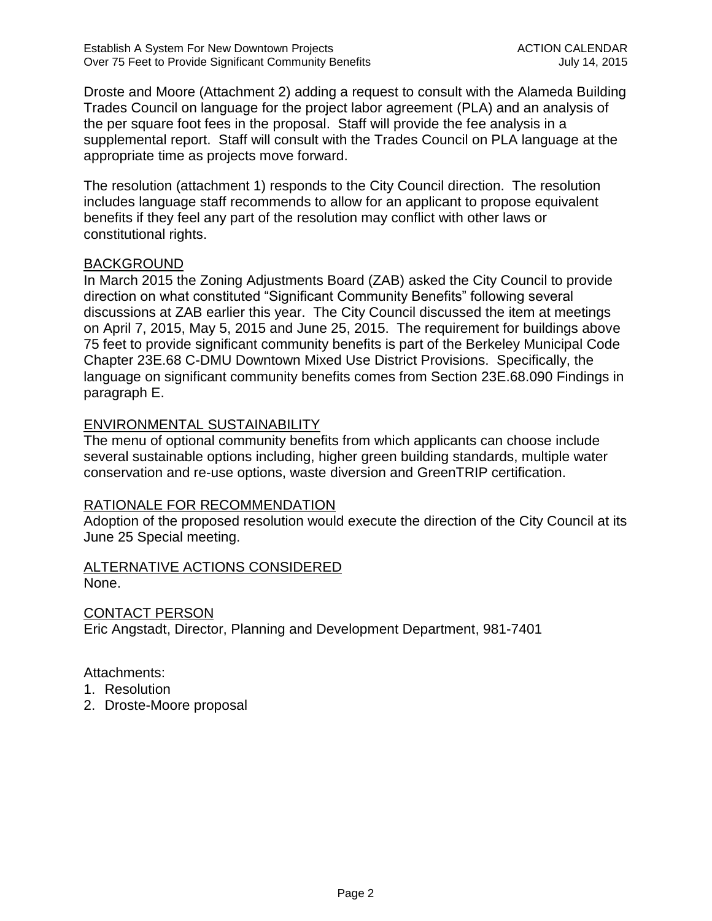Droste and Moore (Attachment 2) adding a request to consult with the Alameda Building Trades Council on language for the project labor agreement (PLA) and an analysis of the per square foot fees in the proposal. Staff will provide the fee analysis in a supplemental report. Staff will consult with the Trades Council on PLA language at the appropriate time as projects move forward.

The resolution (attachment 1) responds to the City Council direction. The resolution includes language staff recommends to allow for an applicant to propose equivalent benefits if they feel any part of the resolution may conflict with other laws or constitutional rights.

## BACKGROUND

In March 2015 the Zoning Adjustments Board (ZAB) asked the City Council to provide direction on what constituted "Significant Community Benefits" following several discussions at ZAB earlier this year. The City Council discussed the item at meetings on April 7, 2015, May 5, 2015 and June 25, 2015. The requirement for buildings above 75 feet to provide significant community benefits is part of the Berkeley Municipal Code Chapter 23E.68 C-DMU Downtown Mixed Use District Provisions. Specifically, the language on significant community benefits comes from Section 23E.68.090 Findings in paragraph E.

## ENVIRONMENTAL SUSTAINABILITY

The menu of optional community benefits from which applicants can choose include several sustainable options including, higher green building standards, multiple water conservation and re-use options, waste diversion and GreenTRIP certification.

## RATIONALE FOR RECOMMENDATION

Adoption of the proposed resolution would execute the direction of the City Council at its June 25 Special meeting.

#### ALTERNATIVE ACTIONS CONSIDERED None.

CONTACT PERSON

Eric Angstadt, Director, Planning and Development Department, 981-7401

## Attachments:

- 1. Resolution
- 2. Droste-Moore proposal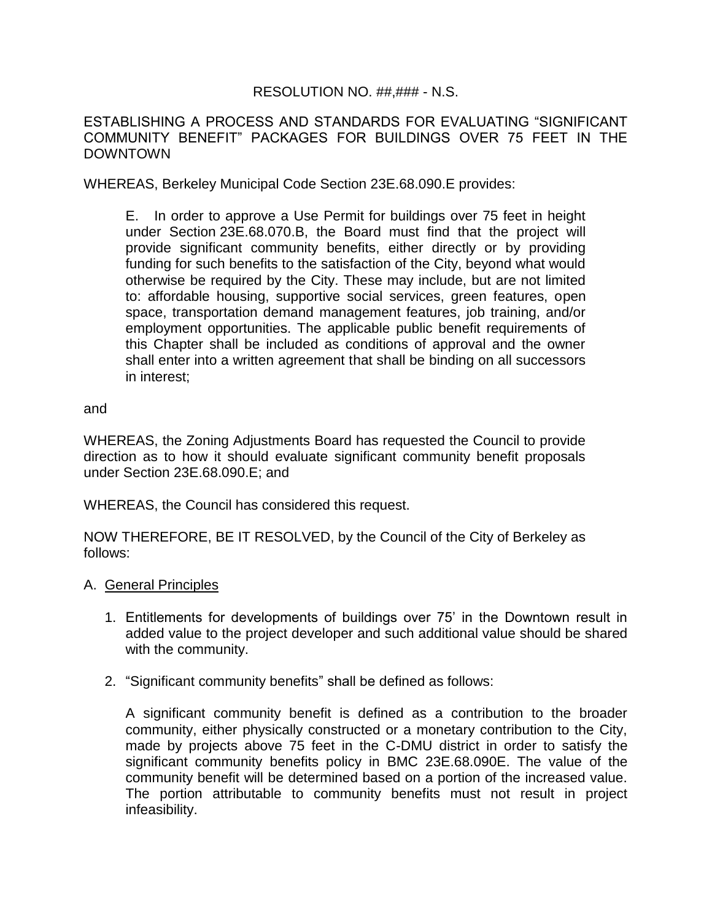## RESOLUTION NO. ##,### - N.S.

ESTABLISHING A PROCESS AND STANDARDS FOR EVALUATING "SIGNIFICANT COMMUNITY BENEFIT" PACKAGES FOR BUILDINGS OVER 75 FEET IN THE DOWNTOWN

WHEREAS, Berkeley Municipal Code Section 23E.68.090.E provides:

E. In order to approve a Use Permit for buildings over 75 feet in height under Section 23E.68.070.B, the Board must find that the project will provide significant community benefits, either directly or by providing funding for such benefits to the satisfaction of the City, beyond what would otherwise be required by the City. These may include, but are not limited to: affordable housing, supportive social services, green features, open space, transportation demand management features, job training, and/or employment opportunities. The applicable public benefit requirements of this Chapter shall be included as conditions of approval and the owner shall enter into a written agreement that shall be binding on all successors in interest;

#### and

WHEREAS, the Zoning Adjustments Board has requested the Council to provide direction as to how it should evaluate significant community benefit proposals under Section 23E.68.090.E; and

WHEREAS, the Council has considered this request.

NOW THEREFORE, BE IT RESOLVED, by the Council of the City of Berkeley as follows:

- A. General Principles
	- 1. Entitlements for developments of buildings over 75' in the Downtown result in added value to the project developer and such additional value should be shared with the community.
	- 2. "Significant community benefits" shall be defined as follows:

A significant community benefit is defined as a contribution to the broader community, either physically constructed or a monetary contribution to the City, made by projects above 75 feet in the C-DMU district in order to satisfy the significant community benefits policy in BMC 23E.68.090E. The value of the community benefit will be determined based on a portion of the increased value. The portion attributable to community benefits must not result in project infeasibility.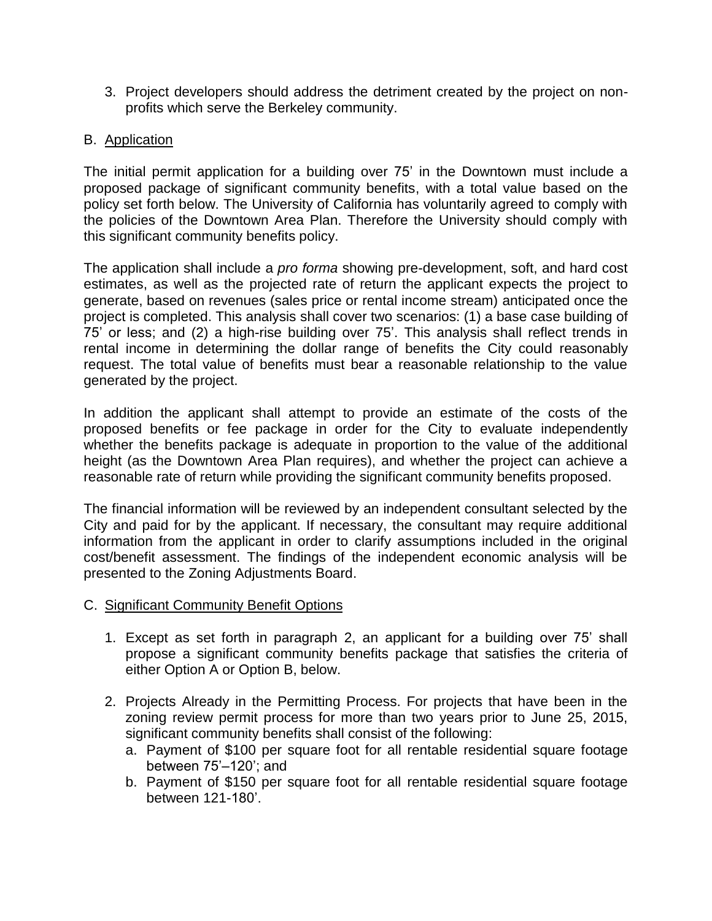3. Project developers should address the detriment created by the project on nonprofits which serve the Berkeley community.

## B. Application

The initial permit application for a building over 75' in the Downtown must include a proposed package of significant community benefits, with a total value based on the policy set forth below. The University of California has voluntarily agreed to comply with the policies of the Downtown Area Plan. Therefore the University should comply with this significant community benefits policy.

The application shall include a *pro forma* showing pre-development, soft, and hard cost estimates, as well as the projected rate of return the applicant expects the project to generate, based on revenues (sales price or rental income stream) anticipated once the project is completed. This analysis shall cover two scenarios: (1) a base case building of 75' or less; and (2) a high-rise building over 75'. This analysis shall reflect trends in rental income in determining the dollar range of benefits the City could reasonably request. The total value of benefits must bear a reasonable relationship to the value generated by the project.

In addition the applicant shall attempt to provide an estimate of the costs of the proposed benefits or fee package in order for the City to evaluate independently whether the benefits package is adequate in proportion to the value of the additional height (as the Downtown Area Plan requires), and whether the project can achieve a reasonable rate of return while providing the significant community benefits proposed.

The financial information will be reviewed by an independent consultant selected by the City and paid for by the applicant. If necessary, the consultant may require additional information from the applicant in order to clarify assumptions included in the original cost/benefit assessment. The findings of the independent economic analysis will be presented to the Zoning Adjustments Board.

## C. Significant Community Benefit Options

- 1. Except as set forth in paragraph 2, an applicant for a building over 75' shall propose a significant community benefits package that satisfies the criteria of either Option A or Option B, below.
- 2. Projects Already in the Permitting Process. For projects that have been in the zoning review permit process for more than two years prior to June 25, 2015, significant community benefits shall consist of the following:
	- a. Payment of \$100 per square foot for all rentable residential square footage between 75'–120'; and
	- b. Payment of \$150 per square foot for all rentable residential square footage between 121-180'.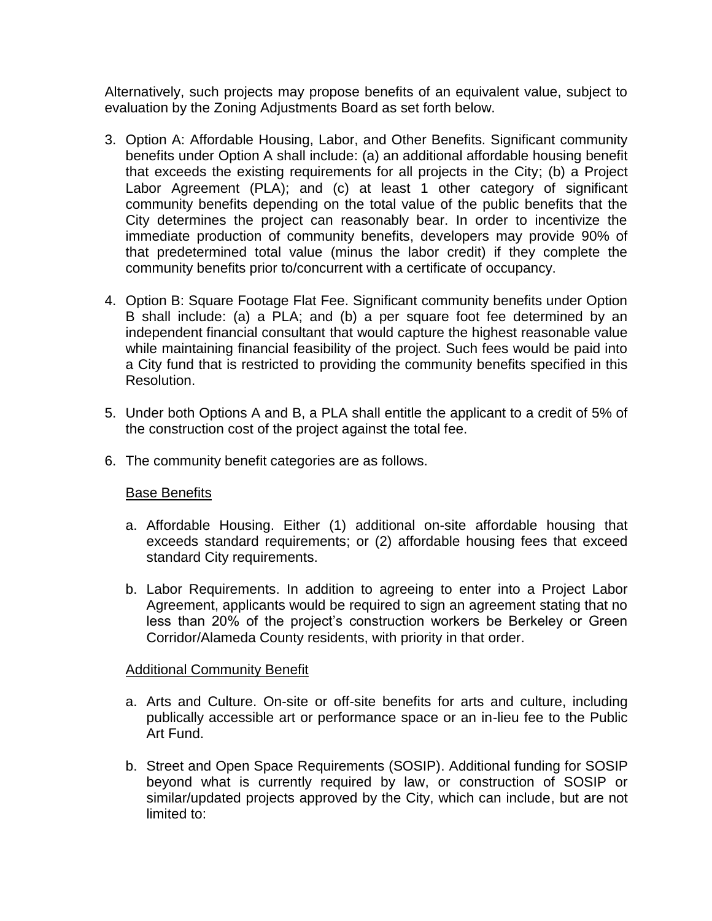Alternatively, such projects may propose benefits of an equivalent value, subject to evaluation by the Zoning Adjustments Board as set forth below.

- 3. Option A: Affordable Housing, Labor, and Other Benefits. Significant community benefits under Option A shall include: (a) an additional affordable housing benefit that exceeds the existing requirements for all projects in the City; (b) a Project Labor Agreement (PLA); and (c) at least 1 other category of significant community benefits depending on the total value of the public benefits that the City determines the project can reasonably bear. In order to incentivize the immediate production of community benefits, developers may provide 90% of that predetermined total value (minus the labor credit) if they complete the community benefits prior to/concurrent with a certificate of occupancy.
- 4. Option B: Square Footage Flat Fee. Significant community benefits under Option B shall include: (a) a PLA; and (b) a per square foot fee determined by an independent financial consultant that would capture the highest reasonable value while maintaining financial feasibility of the project. Such fees would be paid into a City fund that is restricted to providing the community benefits specified in this Resolution.
- 5. Under both Options A and B, a PLA shall entitle the applicant to a credit of 5% of the construction cost of the project against the total fee.
- 6. The community benefit categories are as follows.

## **Base Benefits**

- a. Affordable Housing. Either (1) additional on-site affordable housing that exceeds standard requirements; or (2) affordable housing fees that exceed standard City requirements.
- b. Labor Requirements. In addition to agreeing to enter into a Project Labor Agreement, applicants would be required to sign an agreement stating that no less than 20% of the project's construction workers be Berkeley or Green Corridor/Alameda County residents, with priority in that order.

## Additional Community Benefit

- a. Arts and Culture. On-site or off-site benefits for arts and culture, including publically accessible art or performance space or an in-lieu fee to the Public Art Fund.
- b. Street and Open Space Requirements (SOSIP). Additional funding for SOSIP beyond what is currently required by law, or construction of SOSIP or similar/updated projects approved by the City, which can include, but are not limited to: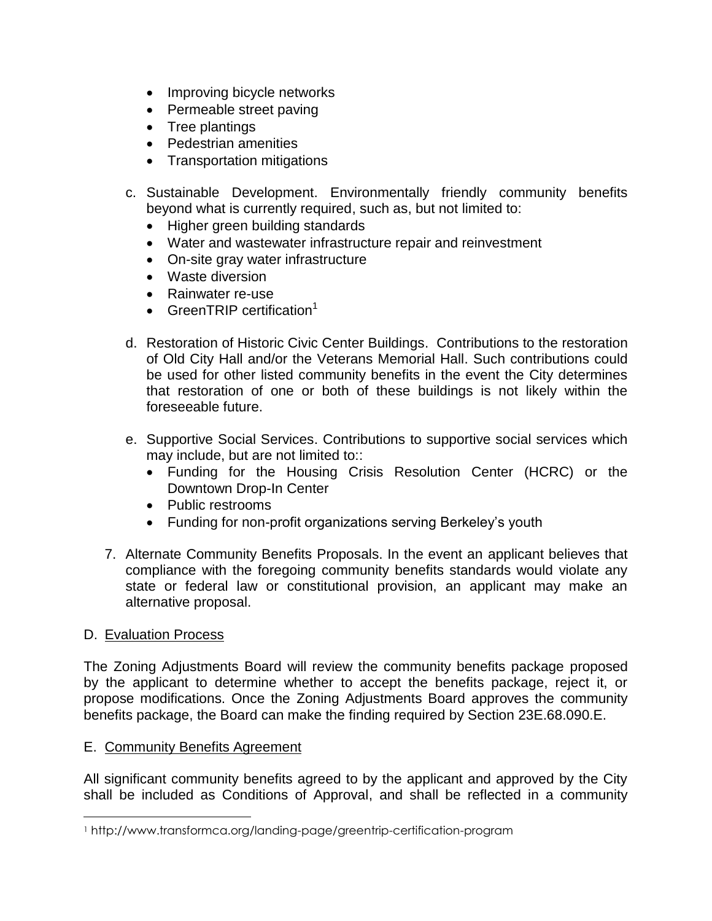- Improving bicycle networks
- Permeable street paving
- Tree plantings
- Pedestrian amenities
- Transportation mitigations
- c. Sustainable Development. Environmentally friendly community benefits beyond what is currently required, such as, but not limited to:
	- Higher green building standards
	- Water and wastewater infrastructure repair and reinvestment
	- On-site gray water infrastructure
	- Waste diversion
	- Rainwater re-use
	- GreenTRIP certification<sup>1</sup>
- d. Restoration of Historic Civic Center Buildings. Contributions to the restoration of Old City Hall and/or the Veterans Memorial Hall. Such contributions could be used for other listed community benefits in the event the City determines that restoration of one or both of these buildings is not likely within the foreseeable future.
- e. Supportive Social Services. Contributions to supportive social services which may include, but are not limited to::
	- Funding for the Housing Crisis Resolution Center (HCRC) or the Downtown Drop-In Center
	- Public restrooms
	- Funding for non-profit organizations serving Berkeley's youth
- 7. Alternate Community Benefits Proposals. In the event an applicant believes that compliance with the foregoing community benefits standards would violate any state or federal law or constitutional provision, an applicant may make an alternative proposal.

## D. Evaluation Process

 $\overline{a}$ 

The Zoning Adjustments Board will review the community benefits package proposed by the applicant to determine whether to accept the benefits package, reject it, or propose modifications. Once the Zoning Adjustments Board approves the community benefits package, the Board can make the finding required by Section 23E.68.090.E.

## E. Community Benefits Agreement

All significant community benefits agreed to by the applicant and approved by the City shall be included as Conditions of Approval, and shall be reflected in a community

<sup>1</sup> http://www.transformca.org/landing-page/greentrip-certification-program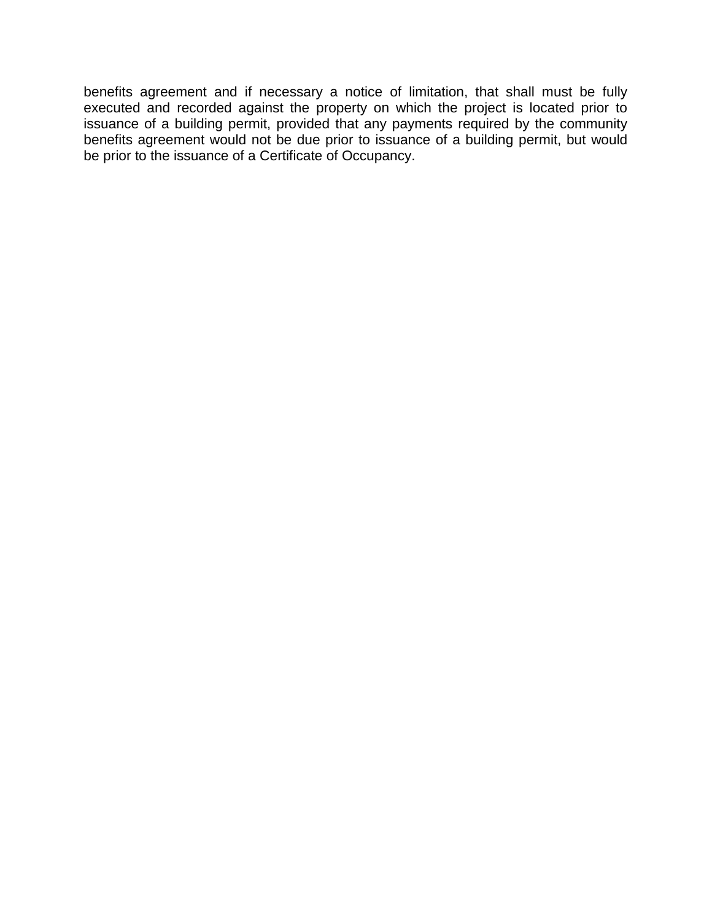benefits agreement and if necessary a notice of limitation, that shall must be fully executed and recorded against the property on which the project is located prior to issuance of a building permit, provided that any payments required by the community benefits agreement would not be due prior to issuance of a building permit, but would be prior to the issuance of a Certificate of Occupancy.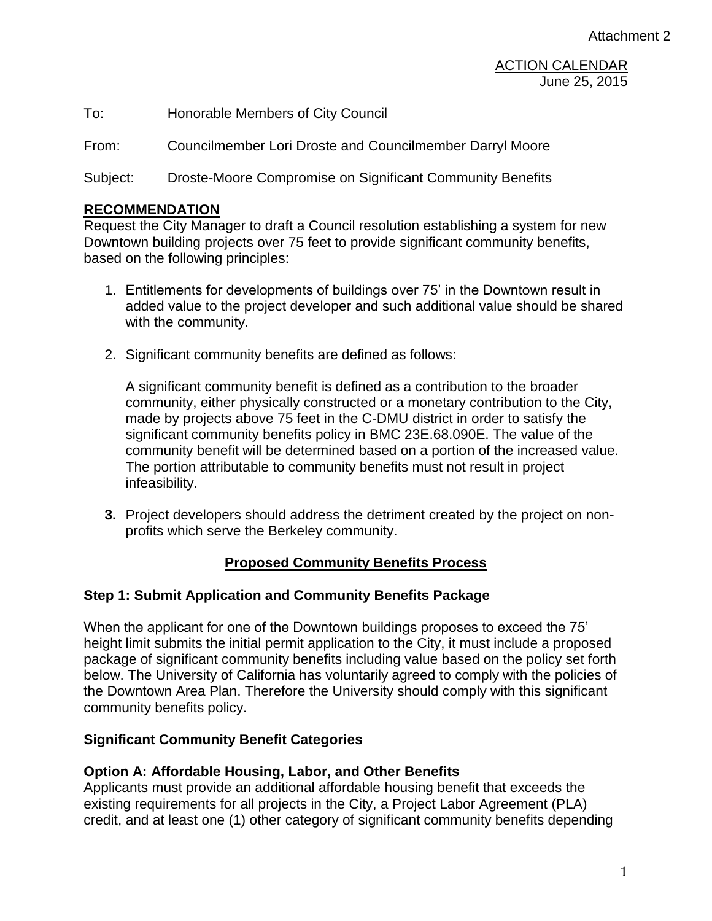To: Honorable Members of City Council

From: Councilmember Lori Droste and Councilmember Darryl Moore

Subject: Droste-Moore Compromise on Significant Community Benefits

#### **RECOMMENDATION**

Request the City Manager to draft a Council resolution establishing a system for new Downtown building projects over 75 feet to provide significant community benefits, based on the following principles:

- 1. Entitlements for developments of buildings over 75' in the Downtown result in added value to the project developer and such additional value should be shared with the community.
- 2. Significant community benefits are defined as follows:

A significant community benefit is defined as a contribution to the broader community, either physically constructed or a monetary contribution to the City, made by projects above 75 feet in the C-DMU district in order to satisfy the significant community benefits policy in BMC 23E.68.090E. The value of the community benefit will be determined based on a portion of the increased value. The portion attributable to community benefits must not result in project infeasibility.

**3.** Project developers should address the detriment created by the project on nonprofits which serve the Berkeley community.

## **Proposed Community Benefits Process**

#### **Step 1: Submit Application and Community Benefits Package**

When the applicant for one of the Downtown buildings proposes to exceed the 75' height limit submits the initial permit application to the City, it must include a proposed package of significant community benefits including value based on the policy set forth below. The University of California has voluntarily agreed to comply with the policies of the Downtown Area Plan. Therefore the University should comply with this significant community benefits policy.

#### **Significant Community Benefit Categories**

#### **Option A: Affordable Housing, Labor, and Other Benefits**

Applicants must provide an additional affordable housing benefit that exceeds the existing requirements for all projects in the City, a Project Labor Agreement (PLA) credit, and at least one (1) other category of significant community benefits depending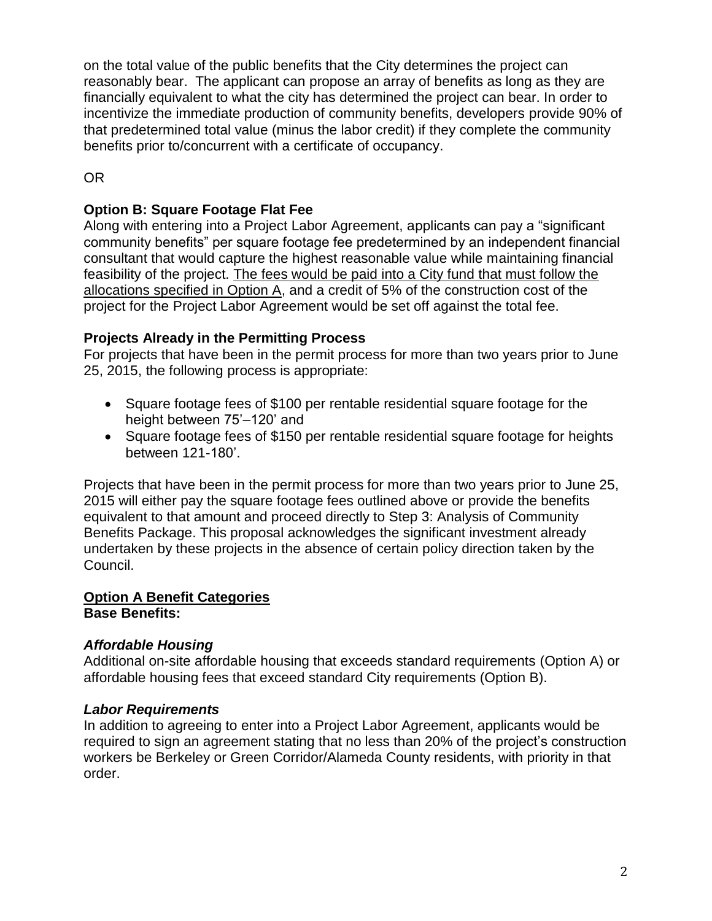on the total value of the public benefits that the City determines the project can reasonably bear. The applicant can propose an array of benefits as long as they are financially equivalent to what the city has determined the project can bear. In order to incentivize the immediate production of community benefits, developers provide 90% of that predetermined total value (minus the labor credit) if they complete the community benefits prior to/concurrent with a certificate of occupancy.

# OR

## **Option B: Square Footage Flat Fee**

Along with entering into a Project Labor Agreement, applicants can pay a "significant community benefits" per square footage fee predetermined by an independent financial consultant that would capture the highest reasonable value while maintaining financial feasibility of the project. The fees would be paid into a City fund that must follow the allocations specified in Option A, and a credit of 5% of the construction cost of the project for the Project Labor Agreement would be set off against the total fee.

## **Projects Already in the Permitting Process**

For projects that have been in the permit process for more than two years prior to June 25, 2015, the following process is appropriate:

- Square footage fees of \$100 per rentable residential square footage for the height between 75'–120' and
- Square footage fees of \$150 per rentable residential square footage for heights between 121-180'.

Projects that have been in the permit process for more than two years prior to June 25, 2015 will either pay the square footage fees outlined above or provide the benefits equivalent to that amount and proceed directly to Step 3: Analysis of Community Benefits Package. This proposal acknowledges the significant investment already undertaken by these projects in the absence of certain policy direction taken by the Council.

## **Option A Benefit Categories Base Benefits:**

## *Affordable Housing*

Additional on-site affordable housing that exceeds standard requirements (Option A) or affordable housing fees that exceed standard City requirements (Option B).

## *Labor Requirements*

In addition to agreeing to enter into a Project Labor Agreement, applicants would be required to sign an agreement stating that no less than 20% of the project's construction workers be Berkeley or Green Corridor/Alameda County residents, with priority in that order.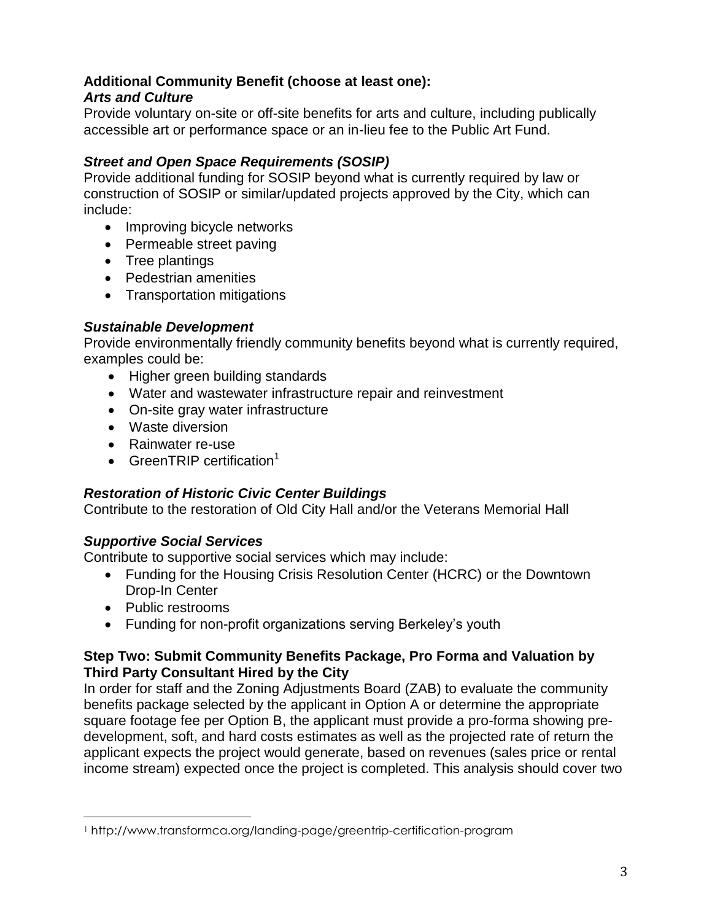## **Additional Community Benefit (choose at least one):** *Arts and Culture*

Provide voluntary on-site or off-site benefits for arts and culture, including publically accessible art or performance space or an in-lieu fee to the Public Art Fund.

# *Street and Open Space Requirements (SOSIP)*

Provide additional funding for SOSIP beyond what is currently required by law or construction of SOSIP or similar/updated projects approved by the City, which can include:

- Improving bicycle networks
- Permeable street paving
- Tree plantings
- Pedestrian amenities
- Transportation mitigations

## *Sustainable Development*

Provide environmentally friendly community benefits beyond what is currently required, examples could be:

- Higher green building standards
- Water and wastewater infrastructure repair and reinvestment
- On-site gray water infrastructure
- Waste diversion
- Rainwater re-use
- **GreenTRIP** certification<sup>1</sup>

# *Restoration of Historic Civic Center Buildings*

Contribute to the restoration of Old City Hall and/or the Veterans Memorial Hall

# *Supportive Social Services*

Contribute to supportive social services which may include:

- Funding for the Housing Crisis Resolution Center (HCRC) or the Downtown Drop-In Center
- Public restrooms

 $\overline{a}$ 

Funding for non-profit organizations serving Berkeley's youth

## **Step Two: Submit Community Benefits Package, Pro Forma and Valuation by Third Party Consultant Hired by the City**

In order for staff and the Zoning Adjustments Board (ZAB) to evaluate the community benefits package selected by the applicant in Option A or determine the appropriate square footage fee per Option B, the applicant must provide a pro-forma showing predevelopment, soft, and hard costs estimates as well as the projected rate of return the applicant expects the project would generate, based on revenues (sales price or rental income stream) expected once the project is completed. This analysis should cover two

<sup>1</sup> http://www.transformca.org/landing-page/greentrip-certification-program